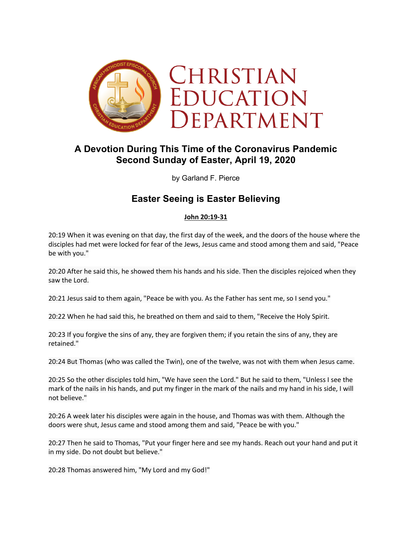

# **A Devotion During This Time of the Coronavirus Pandemic Second Sunday of Easter, April 19, 2020**

by Garland F. Pierce

## **Easter Seeing is Easter Believing**

#### **John 20:19-31**

20:19 When it was evening on that day, the first day of the week, and the doors of the house where the disciples had met were locked for fear of the Jews, Jesus came and stood among them and said, "Peace be with you."

20:20 After he said this, he showed them his hands and his side. Then the disciples rejoiced when they saw the Lord.

20:21 Jesus said to them again, "Peace be with you. As the Father has sent me, so I send you."

20:22 When he had said this, he breathed on them and said to them, "Receive the Holy Spirit.

20:23 If you forgive the sins of any, they are forgiven them; if you retain the sins of any, they are retained."

20:24 But Thomas (who was called the Twin), one of the twelve, was not with them when Jesus came.

20:25 So the other disciples told him, "We have seen the Lord." But he said to them, "Unless I see the mark of the nails in his hands, and put my finger in the mark of the nails and my hand in his side, I will not believe."

20:26 A week later his disciples were again in the house, and Thomas was with them. Although the doors were shut, Jesus came and stood among them and said, "Peace be with you."

20:27 Then he said to Thomas, "Put your finger here and see my hands. Reach out your hand and put it in my side. Do not doubt but believe."

20:28 Thomas answered him, "My Lord and my God!"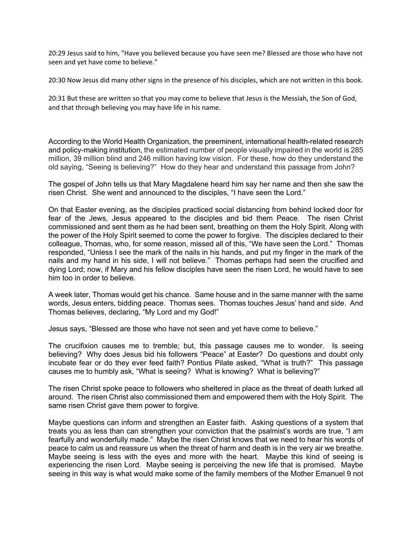20:29 Jesus said to him, "Have you believed because you have seen me? Blessed are those who have not seen and yet have come to believe."

20:30 Now Jesus did many other signs in the presence of his disciples, which are not written in this book.

20:31 But these are written so that you may come to believe that Jesus is the Messiah, the Son of God, and that through believing you may have life in his name.

According to the World Health Organization, the preeminent, international health-related research and policy-making institution, the estimated number of people visually impaired in the world is 285 million, 39 million blind and 246 million having low vision. For these, how do they understand the old saying, "Seeing is believing?" How do they hear and understand this passage from John?

The gospel of John tells us that Mary Magdalene heard him say her name and then she saw the risen Christ. She went and announced to the disciples, "I have seen the Lord."

On that Easter evening, as the disciples practiced social distancing from behind locked door for fear of the Jews, Jesus appeared to the disciples and bid them Peace. The risen Christ commissioned and sent them as he had been sent, breathing on them the Holy Spirit. Along with the power of the Holy Spirit seemed to come the power to forgive. The disciples declared to their colleague, Thomas, who, for some reason, missed all of this, "We have seen the Lord." Thomas responded, "Unless I see the mark of the nails in his hands, and put my finger in the mark of the nails and my hand in his side, I will not believe." Thomas perhaps had seen the crucified and dying Lord; now, if Mary and his fellow disciples have seen the risen Lord, he would have to see him too in order to believe.

A week later, Thomas would get his chance. Same house and in the same manner with the same words, Jesus enters, bidding peace. Thomas sees. Thomas touches Jesus' hand and side. And Thomas believes, declaring, "My Lord and my God!"

Jesus says, "Blessed are those who have not seen and yet have come to believe."

The crucifixion causes me to tremble; but, this passage causes me to wonder. Is seeing believing? Why does Jesus bid his followers "Peace" at Easter? Do questions and doubt only incubate fear or do they ever feed faith? Pontius Pilate asked, "What is truth?" This passage causes me to humbly ask, "What is seeing? What is knowing? What is believing?"

The risen Christ spoke peace to followers who sheltered in place as the threat of death lurked all around. The risen Christ also commissioned them and empowered them with the Holy Spirit. The same risen Christ gave them power to forgive.

Maybe questions can inform and strengthen an Easter faith. Asking questions of a system that treats you as less than can strengthen your conviction that the psalmist's words are true, "I am fearfully and wonderfully made." Maybe the risen Christ knows that we need to hear his words of peace to calm us and reassure us when the threat of harm and death is in the very air we breathe. Maybe seeing is less with the eyes and more with the heart. Maybe this kind of seeing is experiencing the risen Lord. Maybe seeing is perceiving the new life that is promised. Maybe seeing in this way is what would make some of the family members of the Mother Emanuel 9 not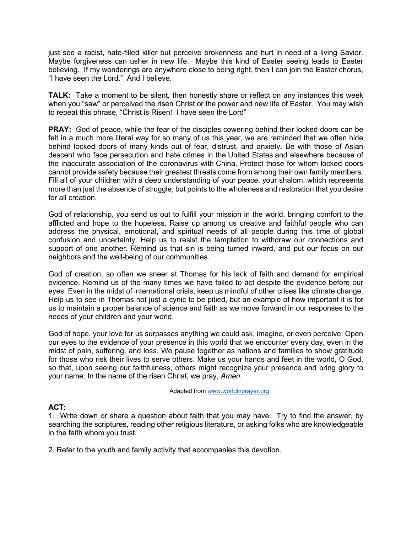just see a racist, hate-filled killer but perceive brokenness and hurt in need of a living Savior. Maybe forgiveness can usher in new life. Maybe this kind of Easter seeing leads to Easter believing. If my wonderings are anywhere close to being right, then I can join the Easter chorus, "I have seen the Lord." And I believe.

**TALK:** Take a moment to be silent, then honestly share or reflect on any instances this week when you "saw" or perceived the risen Christ or the power and new life of Easter. You may wish to repeat this phrase, "Christ is Risen! I have seen the Lord"

**PRAY:** God of peace, while the fear of the disciples cowering behind their locked doors can be felt in a much more literal way for so many of us this year, we are reminded that we often hide behind locked doors of many kinds out of fear, distrust, and anxiety. Be with those of Asian descent who face persecution and hate crimes in the United States and elsewhere because of the inaccurate association of the coronavirus with China. Protect those for whom locked doors cannot provide safety because their greatest threats come from among their own family members. Fill all of your children with a deep understanding of your peace, your shalom, which represents more than just the absence of struggle, but points to the wholeness and restoration that you desire for all creation.

God of relationship, you send us out to fulfill your mission in the world, bringing comfort to the afflicted and hope to the hopeless. Raise up among us creative and faithful people who can address the physical, emotional, and spiritual needs of all people during this time of global confusion and uncertainty. Help us to resist the temptation to withdraw our connections and support of one another. Remind us that sin is being turned inward, and put our focus on our neighbors and the well-being of our communities.

God of creation, so often we sneer at Thomas for his lack of faith and demand for empirical evidence. Remind us of the many times we have failed to act despite the evidence before our eyes. Even in the midst of international crisis, keep us mindful of other crises like climate change. Help us to see in Thomas not just a cynic to be pitied, but an example of how important it is for us to maintain a proper balance of science and faith as we move forward in our responses to the needs of your children and your world.

God of hope, your love for us surpasses anything we could ask, imagine, or even perceive. Open our eyes to the evidence of your presence in this world that we encounter every day, even in the midst of pain, suffering, and loss. We pause together as nations and families to show gratitude for those who risk their lives to serve others. Make us your hands and feet in the world, O God, so that, upon seeing our faithfulness, others might recognize your presence and bring glory to your name. In the name of the risen Christ, we pray, *Amen.*

Adapted from www.worldinprayer.org

### **ACT:**

1.Write down or share a question about faith that you may have. Try to find the answer, by searching the scriptures, reading other religious literature, or asking folks who are knowledgeable in the faith whom you trust.

2. Refer to the youth and family activity that accompanies this devotion.